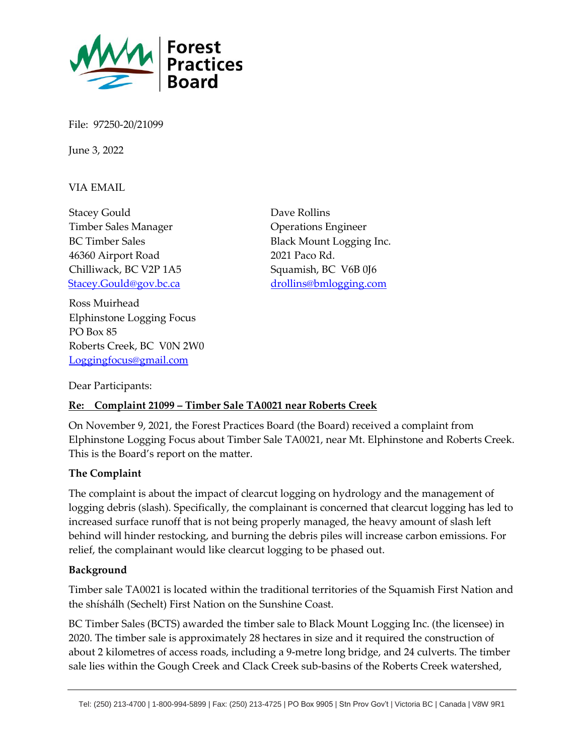

File: 97250-20/21099

June 3, 2022

VIA EMAIL

Stacey Gould Timber Sales Manager BC Timber Sales 46360 Airport Road Chilliwack, BC V2P 1A5 [Stacey.Gould@gov.bc.ca](mailto:Stacey.Gould@gov.bc.ca)

Ross Muirhead Elphinstone Logging Focus PO Box 85 Roberts Creek, BC V0N 2W0 [Loggingfocus@gmail.com](mailto:Loggingfocus@gmail.com)

Dave Rollins Operations Engineer Black Mount Logging Inc. 2021 Paco Rd. Squamish, BC V6B 0J6 [drollins@bmlogging.com](mailto:drollins@bmlogging.com)

Dear Participants:

### **Re: Complaint 21099 – Timber Sale TA0021 near Roberts Creek**

On November 9, 2021, the Forest Practices Board (the Board) received a complaint from Elphinstone Logging Focus about Timber Sale TA0021, near Mt. Elphinstone and Roberts Creek. This is the Board's report on the matter.

### **The Complaint**

The complaint is about the impact of clearcut logging on hydrology and the management of logging debris (slash). Specifically, the complainant is concerned that clearcut logging has led to increased surface runoff that is not being properly managed, the heavy amount of slash left behind will hinder restocking, and burning the debris piles will increase carbon emissions. For relief, the complainant would like clearcut logging to be phased out.

#### **Background**

Timber sale TA0021 is located within the traditional territories of the Squamish First Nation and the shíshálh (Sechelt) First Nation on the Sunshine Coast.

BC Timber Sales (BCTS) awarded the timber sale to Black Mount Logging Inc. (the licensee) in 2020. The timber sale is approximately 28 hectares in size and it required the construction of about 2 kilometres of access roads, including a 9-metre long bridge, and 24 culverts. The timber sale lies within the Gough Creek and Clack Creek sub-basins of the Roberts Creek watershed,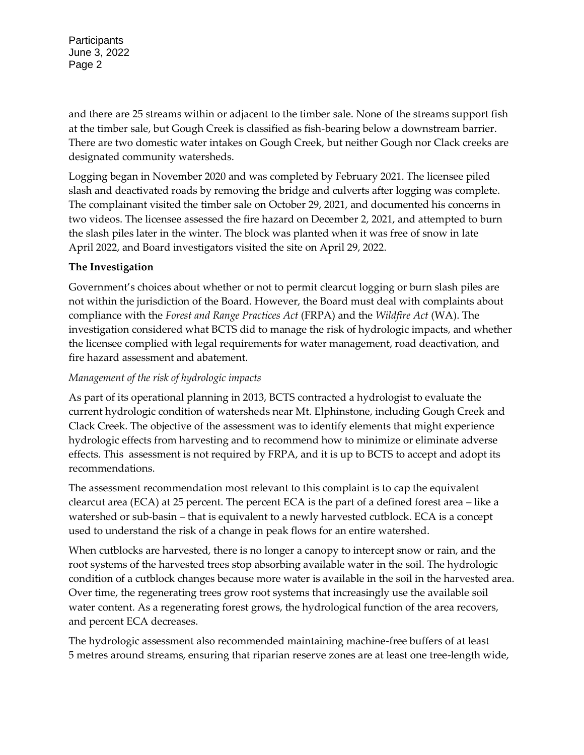**Participants** June 3, 2022 Page 2

and there are 25 streams within or adjacent to the timber sale. None of the streams support fish at the timber sale, but Gough Creek is classified as fish-bearing below a downstream barrier. There are two domestic water intakes on Gough Creek, but neither Gough nor Clack creeks are designated community watersheds.

Logging began in November 2020 and was completed by February 2021. The licensee piled slash and deactivated roads by removing the bridge and culverts after logging was complete. The complainant visited the timber sale on October 29, 2021, and documented his concerns in two videos. The licensee assessed the fire hazard on December 2, 2021, and attempted to burn the slash piles later in the winter. The block was planted when it was free of snow in late April 2022, and Board investigators visited the site on April 29, 2022.

# **The Investigation**

Government's choices about whether or not to permit clearcut logging or burn slash piles are not within the jurisdiction of the Board. However, the Board must deal with complaints about compliance with the *Forest and Range Practices Act* (FRPA) and the *Wildfire Act* (WA). The investigation considered what BCTS did to manage the risk of hydrologic impacts, and whether the licensee complied with legal requirements for water management, road deactivation, and fire hazard assessment and abatement.

## *Management of the risk of hydrologic impacts*

As part of its operational planning in 2013, BCTS contracted a hydrologist to evaluate the current hydrologic condition of watersheds near Mt. Elphinstone, including Gough Creek and Clack Creek. The objective of the assessment was to identify elements that might experience hydrologic effects from harvesting and to recommend how to minimize or eliminate adverse effects. This assessment is not required by FRPA, and it is up to BCTS to accept and adopt its recommendations.

The assessment recommendation most relevant to this complaint is to cap the equivalent clearcut area (ECA) at 25 percent. The percent ECA is the part of a defined forest area – like a watershed or sub-basin – that is equivalent to a newly harvested cutblock. ECA is a concept used to understand the risk of a change in peak flows for an entire watershed.

When cutblocks are harvested, there is no longer a canopy to intercept snow or rain, and the root systems of the harvested trees stop absorbing available water in the soil. The hydrologic condition of a cutblock changes because more water is available in the soil in the harvested area. Over time, the regenerating trees grow root systems that increasingly use the available soil water content. As a regenerating forest grows, the hydrological function of the area recovers, and percent ECA decreases.

The hydrologic assessment also recommended maintaining machine-free buffers of at least 5 metres around streams, ensuring that riparian reserve zones are at least one tree-length wide,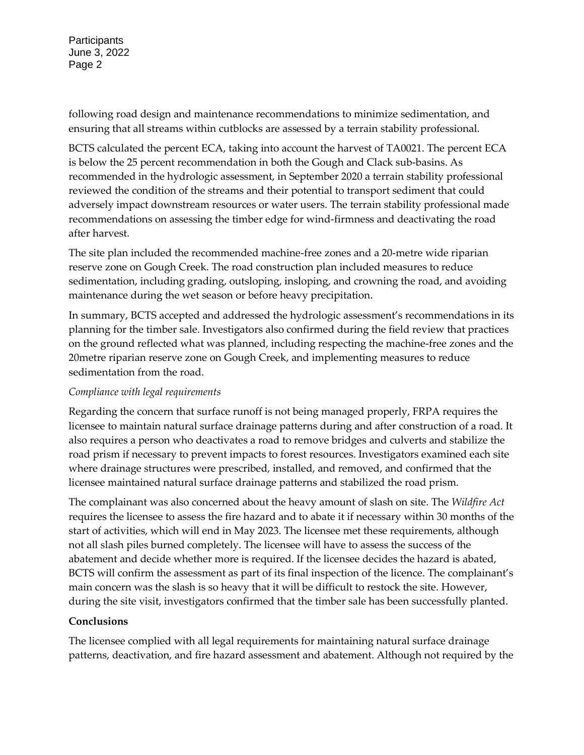**Participants** June 3, 2022 Page 2

following road design and maintenance recommendations to minimize sedimentation, and ensuring that all streams within cutblocks are assessed by a terrain stability professional.

BCTS calculated the percent ECA, taking into account the harvest of TA0021. The percent ECA is below the 25 percent recommendation in both the Gough and Clack sub-basins. As recommended in the hydrologic assessment, in September 2020 a terrain stability professional reviewed the condition of the streams and their potential to transport sediment that could adversely impact downstream resources or water users. The terrain stability professional made recommendations on assessing the timber edge for wind-firmness and deactivating the road after harvest.

The site plan included the recommended machine-free zones and a 20-metre wide riparian reserve zone on Gough Creek. The road construction plan included measures to reduce sedimentation, including grading, outsloping, insloping, and crowning the road, and avoiding maintenance during the wet season or before heavy precipitation.

In summary, BCTS accepted and addressed the hydrologic assessment's recommendations in its planning for the timber sale. Investigators also confirmed during the field review that practices on the ground reflected what was planned, including respecting the machine-free zones and the 20metre riparian reserve zone on Gough Creek, and implementing measures to reduce sedimentation from the road.

## *Compliance with legal requirements*

Regarding the concern that surface runoff is not being managed properly, FRPA requires the licensee to maintain natural surface drainage patterns during and after construction of a road. It also requires a person who deactivates a road to remove bridges and culverts and stabilize the road prism if necessary to prevent impacts to forest resources. Investigators examined each site where drainage structures were prescribed, installed, and removed, and confirmed that the licensee maintained natural surface drainage patterns and stabilized the road prism.

The complainant was also concerned about the heavy amount of slash on site. The *Wildfire Act* requires the licensee to assess the fire hazard and to abate it if necessary within 30 months of the start of activities, which will end in May 2023. The licensee met these requirements, although not all slash piles burned completely. The licensee will have to assess the success of the abatement and decide whether more is required. If the licensee decides the hazard is abated, BCTS will confirm the assessment as part of its final inspection of the licence. The complainant's main concern was the slash is so heavy that it will be difficult to restock the site. However, during the site visit, investigators confirmed that the timber sale has been successfully planted.

# **Conclusions**

The licensee complied with all legal requirements for maintaining natural surface drainage patterns, deactivation, and fire hazard assessment and abatement. Although not required by the